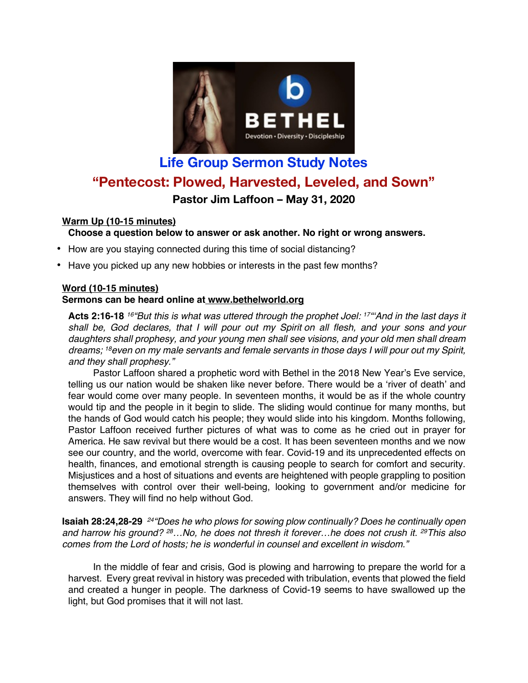

# **Life Group Sermon Study Notes "Pentecost: Plowed, Harvested, Leveled, and Sown" Pastor Jim Laffoon – May 31, 2020**

## **Warm Up (10-15 minutes)**

### **Choose a question below to answer or ask another. No right or wrong answers.**

- How are you staying connected during this time of social distancing?
- Have you picked up any new hobbies or interests in the past few months?

# **Word (10-15 minutes)**

#### **Sermons can be heard online at www.bethelworld.org**

**Acts 2:16-18** *16"But this is what was uttered through the prophet Joel: 17"'And in the last days it shall be, God declares, that I will pour out my Spirit on all flesh, and your sons and your daughters shall prophesy, and your young men shall see visions, and your old men shall dream dreams; 18even on my male servants and female servants in those days I will pour out my Spirit, and they shall prophesy."*

Pastor Laffoon shared a prophetic word with Bethel in the 2018 New Year's Eve service, telling us our nation would be shaken like never before. There would be a 'river of death' and fear would come over many people. In seventeen months, it would be as if the whole country would tip and the people in it begin to slide. The sliding would continue for many months, but the hands of God would catch his people; they would slide into his kingdom. Months following, Pastor Laffoon received further pictures of what was to come as he cried out in prayer for America. He saw revival but there would be a cost. It has been seventeen months and we now see our country, and the world, overcome with fear. Covid-19 and its unprecedented effects on health, finances, and emotional strength is causing people to search for comfort and security. Misjustices and a host of situations and events are heightened with people grappling to position themselves with control over their well-being, looking to government and/or medicine for answers. They will find no help without God.

**Isaiah 28:24,28-29** *24"Does he who plows for sowing plow continually? Does he continually open and harrow his ground? 28…No, he does not thresh it forever…he does not crush it. 29This also comes from the Lord of hosts; he is wonderful in counsel and excellent in wisdom."*

In the middle of fear and crisis, God is plowing and harrowing to prepare the world for a harvest. Every great revival in history was preceded with tribulation, events that plowed the field and created a hunger in people. The darkness of Covid-19 seems to have swallowed up the light, but God promises that it will not last.